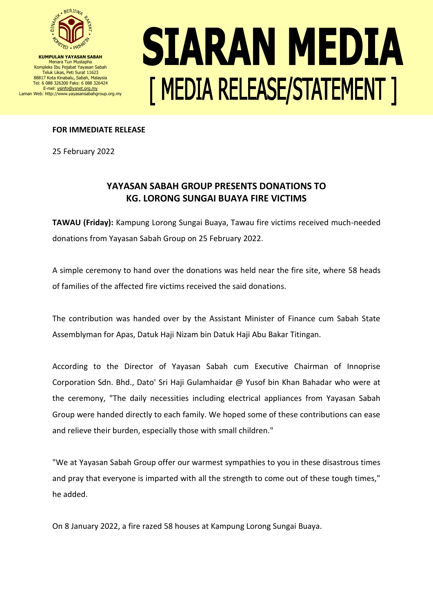

**KUMPULAN YAYASAN SABAH** Menara Tun Mustapha Kompleks Ibu Pejabat Yayasan Sabah Teluk Likas, Peti Surat 11623 88817 Kota Kinabalu, Sabah, Malaysia Tel: 6 088 326300 Faks: 6 088 326424 E-mel[: ysinfo@ysnet.org.my](mailto:ysinfo@ysnet.org.my) Laman Web: http://www.yayasansabahgroup.org.my

## SIARAN MEDIA [ MEDIA RELEASE/STATEMENT ]

## **FOR IMMEDIATE RELEASE**

25 February 2022

## **YAYASAN SABAH GROUP PRESENTS DONATIONS TO KG. LORONG SUNGAI BUAYA FIRE VICTIMS**

**TAWAU (Friday):** Kampung Lorong Sungai Buaya, Tawau fire victims received much-needed donations from Yayasan Sabah Group on 25 February 2022.

A simple ceremony to hand over the donations was held near the fire site, where 58 heads of families of the affected fire victims received the said donations.

The contribution was handed over by the Assistant Minister of Finance cum Sabah State Assemblyman for Apas, Datuk Haji Nizam bin Datuk Haji Abu Bakar Titingan.

According to the Director of Yayasan Sabah cum Executive Chairman of Innoprise Corporation Sdn. Bhd., Dato' Sri Haji Gulamhaidar @ Yusof bin Khan Bahadar who were at the ceremony, "The daily necessities including electrical appliances from Yayasan Sabah Group were handed directly to each family. We hoped some of these contributions can ease and relieve their burden, especially those with small children."

"We at Yayasan Sabah Group offer our warmest sympathies to you in these disastrous times and pray that everyone is imparted with all the strength to come out of these tough times," he added.

On 8 January 2022, a fire razed 58 houses at Kampung Lorong Sungai Buaya.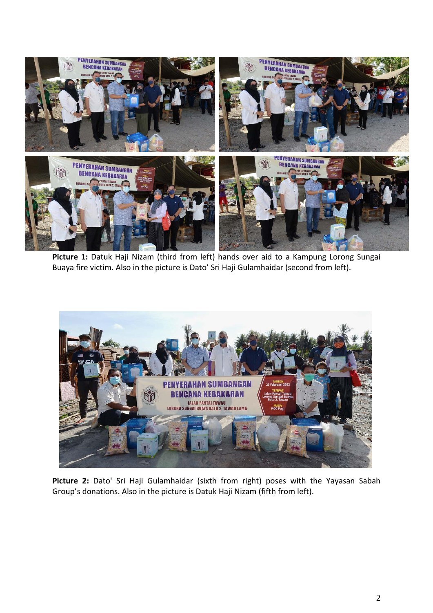

**Picture 1:** Datuk Haji Nizam (third from left) hands over aid to a Kampung Lorong Sungai Buaya fire victim. Also in the picture is Dato' Sri Haji Gulamhaidar (second from left).



**Picture 2:** Dato' Sri Haji Gulamhaidar (sixth from right) poses with the Yayasan Sabah Group's donations. Also in the picture is Datuk Haji Nizam (fifth from left).